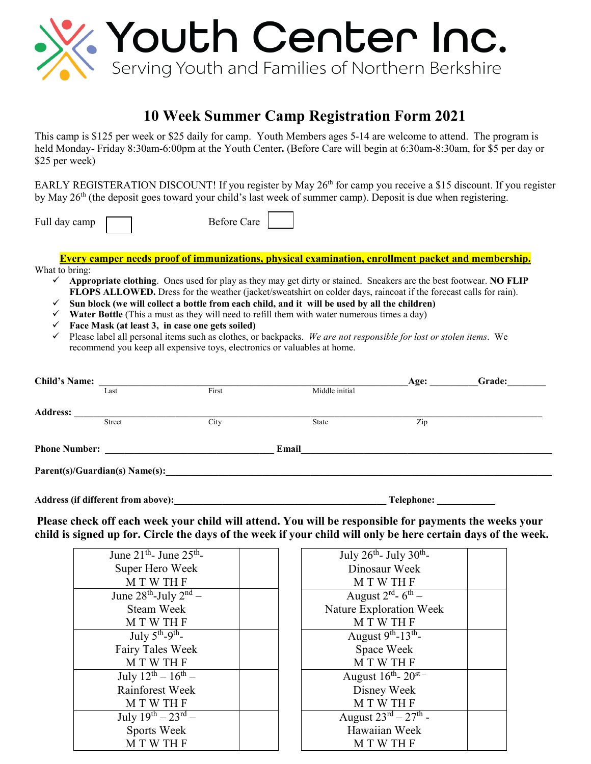

## **10 Week Summer Camp Registration Form 2021**

This camp is \$125 per week or \$25 daily for camp. Youth Members ages 5-14 are welcome to attend. The program is held Monday- Friday 8:30am-6:00pm at the Youth Center**.** (Before Care will begin at 6:30am-8:30am, for \$5 per day or \$25 per week)

EARLY REGISTERATION DISCOUNT! If you register by May 26<sup>th</sup> for camp you receive a \$15 discount. If you register by May 26<sup>th</sup> (the deposit goes toward your child's last week of summer camp). Deposit is due when registering.

Full day camp **Before** Care

**Every camper needs proof of immunizations, physical examination, enrollment packet and membership.** What to bring:

- **Appropriate clothing**. Ones used for play as they may get dirty or stained. Sneakers are the best footwear. **NO FLIP FLOPS ALLOWED.** Dress for the weather (jacket/sweatshirt on colder days, raincoat if the forecast calls for rain).
- $\checkmark$  Sun block (we will collect a bottle from each child, and it will be used by all the children)
- **Water Bottle** (This a must as they will need to refill them with water numerous times a day)
- **Face Mask (at least 3, in case one gets soiled)**
- Please label all personal items such as clothes, or backpacks. *We are not responsible for lost or stolen items*. We recommend you keep all expensive toys, electronics or valuables at home.

| <b>Child's Name:</b>               |        |       |                | Age:       | Grade: |
|------------------------------------|--------|-------|----------------|------------|--------|
|                                    | Last   | First | Middle initial |            |        |
| <b>Address:</b>                    |        |       |                |            |        |
|                                    | Street | City  | State          | Zip        |        |
| <b>Phone Number:</b>               |        |       | Email          |            |        |
|                                    |        |       |                |            |        |
| Address (if different from above): |        |       |                | Telephone: |        |

**Please check off each week your child will attend. You will be responsible for payments the weeks your child is signed up for. Circle the days of the week if your child will only be here certain days of the week.** 

| June $21^{\text{th}}$ - June $25^{\text{th}}$ - | July 26 <sup>th</sup> - July 30 <sup>th</sup> - |
|-------------------------------------------------|-------------------------------------------------|
| Super Hero Week                                 | Dinosaur Week                                   |
| M T W TH F                                      | <b>MTWTHF</b>                                   |
| June $28^{th}$ -July $2^{nd}$ –                 | August $2^{\text{rd}}$ - 6 <sup>th</sup> –      |
| Steam Week                                      | Nature Exploration Week                         |
| M T W TH F                                      | M T W TH F                                      |
| July $5^{th}$ - $9^{th}$ -                      | August $9^{th}$ -13 <sup>th</sup> -             |
| Fairy Tales Week                                | Space Week                                      |
| <b>MTWTHF</b>                                   | M T W TH F                                      |
| July $12^{th} - 16^{th} -$                      | August $16^{\text{th}}$ - $20^{\text{st}}$      |
| Rainforest Week                                 | Disney Week                                     |
| <b>MTWTHF</b>                                   | <b>MTWTHF</b>                                   |
| July $19^{th} - 23^{rd} -$                      | August $23^{rd} - 27^{th}$ -                    |
| Sports Week                                     | Hawaiian Week                                   |
| <b>MTWTHF</b>                                   | <b>MTWTHF</b>                                   |